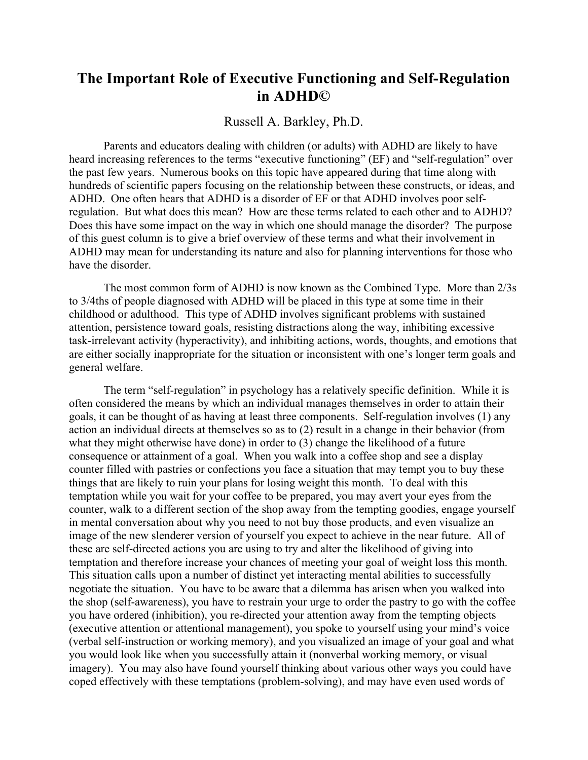## **The Important Role of Executive Functioning and Self-Regulation in ADHD©**

## Russell A. Barkley, Ph.D.

Parents and educators dealing with children (or adults) with ADHD are likely to have heard increasing references to the terms "executive functioning" (EF) and "self-regulation" over the past few years. Numerous books on this topic have appeared during that time along with hundreds of scientific papers focusing on the relationship between these constructs, or ideas, and ADHD. One often hears that ADHD is a disorder of EF or that ADHD involves poor selfregulation. But what does this mean? How are these terms related to each other and to ADHD? Does this have some impact on the way in which one should manage the disorder? The purpose of this guest column is to give a brief overview of these terms and what their involvement in ADHD may mean for understanding its nature and also for planning interventions for those who have the disorder.

The most common form of ADHD is now known as the Combined Type. More than 2/3s to 3/4ths of people diagnosed with ADHD will be placed in this type at some time in their childhood or adulthood. This type of ADHD involves significant problems with sustained attention, persistence toward goals, resisting distractions along the way, inhibiting excessive task-irrelevant activity (hyperactivity), and inhibiting actions, words, thoughts, and emotions that are either socially inappropriate for the situation or inconsistent with one's longer term goals and general welfare.

The term "self-regulation" in psychology has a relatively specific definition. While it is often considered the means by which an individual manages themselves in order to attain their goals, it can be thought of as having at least three components. Self-regulation involves (1) any action an individual directs at themselves so as to (2) result in a change in their behavior (from what they might otherwise have done) in order to (3) change the likelihood of a future consequence or attainment of a goal. When you walk into a coffee shop and see a display counter filled with pastries or confections you face a situation that may tempt you to buy these things that are likely to ruin your plans for losing weight this month. To deal with this temptation while you wait for your coffee to be prepared, you may avert your eyes from the counter, walk to a different section of the shop away from the tempting goodies, engage yourself in mental conversation about why you need to not buy those products, and even visualize an image of the new slenderer version of yourself you expect to achieve in the near future. All of these are self-directed actions you are using to try and alter the likelihood of giving into temptation and therefore increase your chances of meeting your goal of weight loss this month. This situation calls upon a number of distinct yet interacting mental abilities to successfully negotiate the situation. You have to be aware that a dilemma has arisen when you walked into the shop (self-awareness), you have to restrain your urge to order the pastry to go with the coffee you have ordered (inhibition), you re-directed your attention away from the tempting objects (executive attention or attentional management), you spoke to yourself using your mind's voice (verbal self-instruction or working memory), and you visualized an image of your goal and what you would look like when you successfully attain it (nonverbal working memory, or visual imagery). You may also have found yourself thinking about various other ways you could have coped effectively with these temptations (problem-solving), and may have even used words of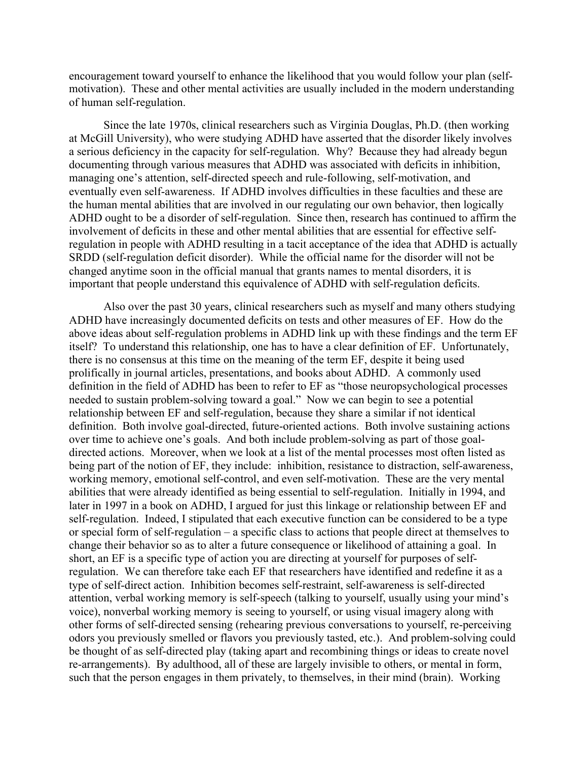encouragement toward yourself to enhance the likelihood that you would follow your plan (selfmotivation). These and other mental activities are usually included in the modern understanding of human self-regulation.

Since the late 1970s, clinical researchers such as Virginia Douglas, Ph.D. (then working at McGill University), who were studying ADHD have asserted that the disorder likely involves a serious deficiency in the capacity for self-regulation. Why? Because they had already begun documenting through various measures that ADHD was associated with deficits in inhibition, managing one's attention, self-directed speech and rule-following, self-motivation, and eventually even self-awareness. If ADHD involves difficulties in these faculties and these are the human mental abilities that are involved in our regulating our own behavior, then logically ADHD ought to be a disorder of self-regulation. Since then, research has continued to affirm the involvement of deficits in these and other mental abilities that are essential for effective selfregulation in people with ADHD resulting in a tacit acceptance of the idea that ADHD is actually SRDD (self-regulation deficit disorder). While the official name for the disorder will not be changed anytime soon in the official manual that grants names to mental disorders, it is important that people understand this equivalence of ADHD with self-regulation deficits.

Also over the past 30 years, clinical researchers such as myself and many others studying ADHD have increasingly documented deficits on tests and other measures of EF. How do the above ideas about self-regulation problems in ADHD link up with these findings and the term EF itself? To understand this relationship, one has to have a clear definition of EF. Unfortunately, there is no consensus at this time on the meaning of the term EF, despite it being used prolifically in journal articles, presentations, and books about ADHD. A commonly used definition in the field of ADHD has been to refer to EF as "those neuropsychological processes needed to sustain problem-solving toward a goal." Now we can begin to see a potential relationship between EF and self-regulation, because they share a similar if not identical definition. Both involve goal-directed, future-oriented actions. Both involve sustaining actions over time to achieve one's goals. And both include problem-solving as part of those goaldirected actions. Moreover, when we look at a list of the mental processes most often listed as being part of the notion of EF, they include: inhibition, resistance to distraction, self-awareness, working memory, emotional self-control, and even self-motivation. These are the very mental abilities that were already identified as being essential to self-regulation. Initially in 1994, and later in 1997 in a book on ADHD, I argued for just this linkage or relationship between EF and self-regulation. Indeed, I stipulated that each executive function can be considered to be a type or special form of self-regulation – a specific class to actions that people direct at themselves to change their behavior so as to alter a future consequence or likelihood of attaining a goal. In short, an EF is a specific type of action you are directing at yourself for purposes of selfregulation. We can therefore take each EF that researchers have identified and redefine it as a type of self-direct action. Inhibition becomes self-restraint, self-awareness is self-directed attention, verbal working memory is self-speech (talking to yourself, usually using your mind's voice), nonverbal working memory is seeing to yourself, or using visual imagery along with other forms of self-directed sensing (rehearing previous conversations to yourself, re-perceiving odors you previously smelled or flavors you previously tasted, etc.). And problem-solving could be thought of as self-directed play (taking apart and recombining things or ideas to create novel re-arrangements). By adulthood, all of these are largely invisible to others, or mental in form, such that the person engages in them privately, to themselves, in their mind (brain). Working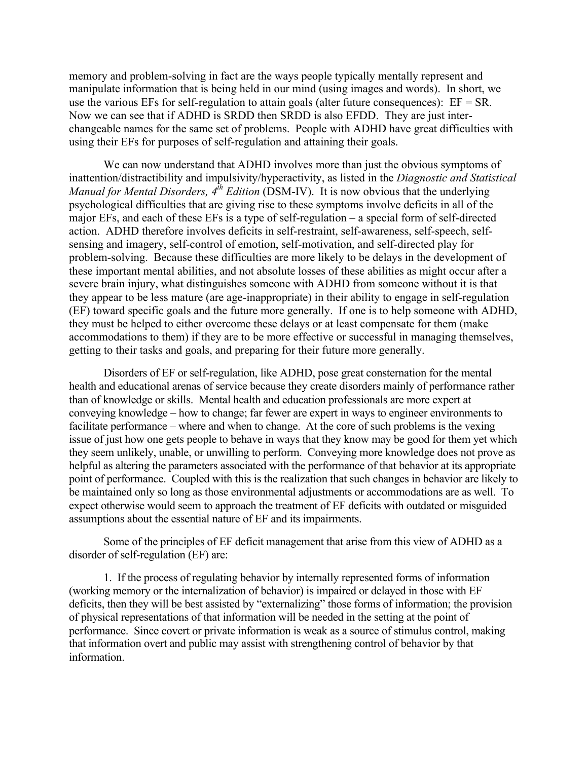memory and problem-solving in fact are the ways people typically mentally represent and manipulate information that is being held in our mind (using images and words). In short, we use the various EFs for self-regulation to attain goals (alter future consequences):  $EF = SR$ . Now we can see that if ADHD is SRDD then SRDD is also EFDD. They are just interchangeable names for the same set of problems. People with ADHD have great difficulties with using their EFs for purposes of self-regulation and attaining their goals.

We can now understand that ADHD involves more than just the obvious symptoms of inattention/distractibility and impulsivity/hyperactivity, as listed in the *Diagnostic and Statistical Manual for Mental Disorders, 4th Edition* (DSM-IV). It is now obvious that the underlying psychological difficulties that are giving rise to these symptoms involve deficits in all of the major EFs, and each of these EFs is a type of self-regulation – a special form of self-directed action. ADHD therefore involves deficits in self-restraint, self-awareness, self-speech, selfsensing and imagery, self-control of emotion, self-motivation, and self-directed play for problem-solving. Because these difficulties are more likely to be delays in the development of these important mental abilities, and not absolute losses of these abilities as might occur after a severe brain injury, what distinguishes someone with ADHD from someone without it is that they appear to be less mature (are age-inappropriate) in their ability to engage in self-regulation (EF) toward specific goals and the future more generally. If one is to help someone with ADHD, they must be helped to either overcome these delays or at least compensate for them (make accommodations to them) if they are to be more effective or successful in managing themselves, getting to their tasks and goals, and preparing for their future more generally.

Disorders of EF or self-regulation, like ADHD, pose great consternation for the mental health and educational arenas of service because they create disorders mainly of performance rather than of knowledge or skills. Mental health and education professionals are more expert at conveying knowledge – how to change; far fewer are expert in ways to engineer environments to facilitate performance – where and when to change. At the core of such problems is the vexing issue of just how one gets people to behave in ways that they know may be good for them yet which they seem unlikely, unable, or unwilling to perform. Conveying more knowledge does not prove as helpful as altering the parameters associated with the performance of that behavior at its appropriate point of performance. Coupled with this is the realization that such changes in behavior are likely to be maintained only so long as those environmental adjustments or accommodations are as well. To expect otherwise would seem to approach the treatment of EF deficits with outdated or misguided assumptions about the essential nature of EF and its impairments.

Some of the principles of EF deficit management that arise from this view of ADHD as a disorder of self-regulation (EF) are:

1. If the process of regulating behavior by internally represented forms of information (working memory or the internalization of behavior) is impaired or delayed in those with EF deficits, then they will be best assisted by "externalizing" those forms of information; the provision of physical representations of that information will be needed in the setting at the point of performance. Since covert or private information is weak as a source of stimulus control, making that information overt and public may assist with strengthening control of behavior by that information.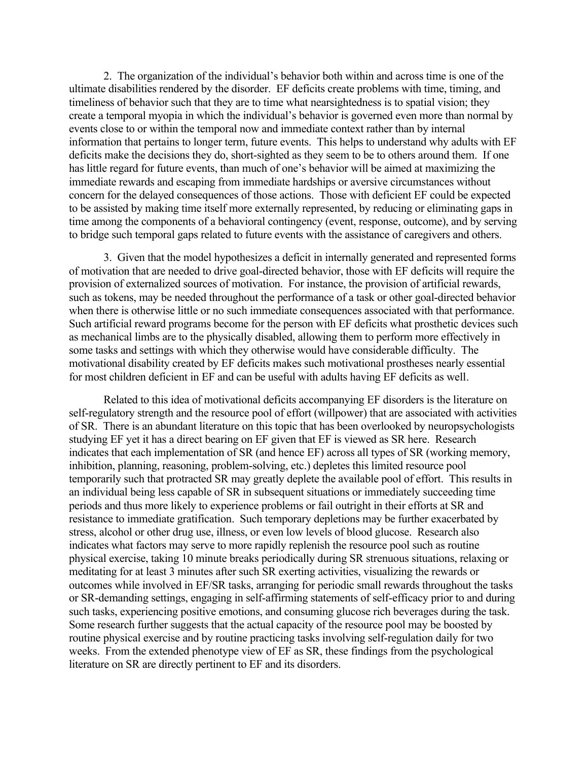2. The organization of the individual's behavior both within and across time is one of the ultimate disabilities rendered by the disorder. EF deficits create problems with time, timing, and timeliness of behavior such that they are to time what nearsightedness is to spatial vision; they create a temporal myopia in which the individual's behavior is governed even more than normal by events close to or within the temporal now and immediate context rather than by internal information that pertains to longer term, future events. This helps to understand why adults with EF deficits make the decisions they do, short-sighted as they seem to be to others around them. If one has little regard for future events, than much of one's behavior will be aimed at maximizing the immediate rewards and escaping from immediate hardships or aversive circumstances without concern for the delayed consequences of those actions. Those with deficient EF could be expected to be assisted by making time itself more externally represented, by reducing or eliminating gaps in time among the components of a behavioral contingency (event, response, outcome), and by serving to bridge such temporal gaps related to future events with the assistance of caregivers and others.

3. Given that the model hypothesizes a deficit in internally generated and represented forms of motivation that are needed to drive goal-directed behavior, those with EF deficits will require the provision of externalized sources of motivation. For instance, the provision of artificial rewards, such as tokens, may be needed throughout the performance of a task or other goal-directed behavior when there is otherwise little or no such immediate consequences associated with that performance. Such artificial reward programs become for the person with EF deficits what prosthetic devices such as mechanical limbs are to the physically disabled, allowing them to perform more effectively in some tasks and settings with which they otherwise would have considerable difficulty. The motivational disability created by EF deficits makes such motivational prostheses nearly essential for most children deficient in EF and can be useful with adults having EF deficits as well.

Related to this idea of motivational deficits accompanying EF disorders is the literature on self-regulatory strength and the resource pool of effort (willpower) that are associated with activities of SR. There is an abundant literature on this topic that has been overlooked by neuropsychologists studying EF yet it has a direct bearing on EF given that EF is viewed as SR here. Research indicates that each implementation of SR (and hence EF) across all types of SR (working memory, inhibition, planning, reasoning, problem-solving, etc.) depletes this limited resource pool temporarily such that protracted SR may greatly deplete the available pool of effort. This results in an individual being less capable of SR in subsequent situations or immediately succeeding time periods and thus more likely to experience problems or fail outright in their efforts at SR and resistance to immediate gratification. Such temporary depletions may be further exacerbated by stress, alcohol or other drug use, illness, or even low levels of blood glucose. Research also indicates what factors may serve to more rapidly replenish the resource pool such as routine physical exercise, taking 10 minute breaks periodically during SR strenuous situations, relaxing or meditating for at least 3 minutes after such SR exerting activities, visualizing the rewards or outcomes while involved in EF/SR tasks, arranging for periodic small rewards throughout the tasks or SR-demanding settings, engaging in self-affirming statements of self-efficacy prior to and during such tasks, experiencing positive emotions, and consuming glucose rich beverages during the task. Some research further suggests that the actual capacity of the resource pool may be boosted by routine physical exercise and by routine practicing tasks involving self-regulation daily for two weeks. From the extended phenotype view of EF as SR, these findings from the psychological literature on SR are directly pertinent to EF and its disorders.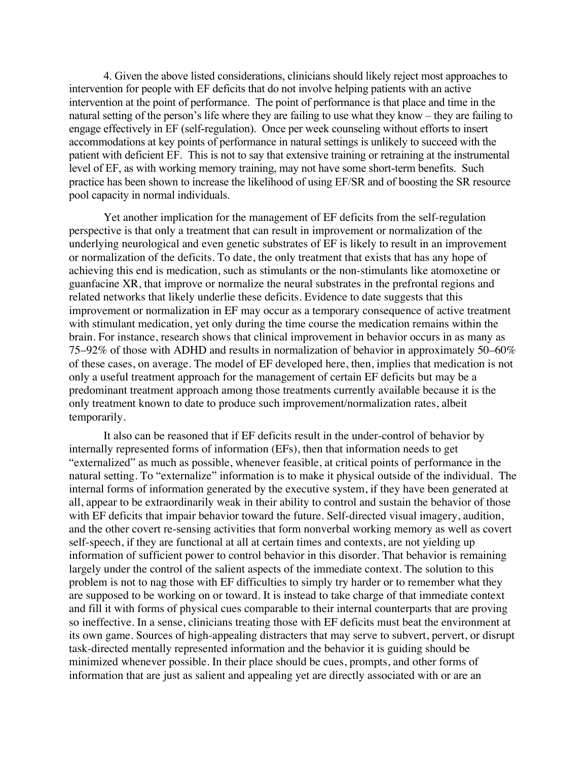4. Given the above listed considerations, clinicians should likely reject most approaches to intervention for people with EF deficits that do not involve helping patients with an active intervention at the point of performance. The point of performance is that place and time in the natural setting of the person's life where they are failing to use what they know – they are failing to engage effectively in EF (self-regulation). Once per week counseling without efforts to insert accommodations at key points of performance in natural settings is unlikely to succeed with the patient with deficient EF. This is not to say that extensive training or retraining at the instrumental level of EF, as with working memory training, may not have some short-term benefits. Such practice has been shown to increase the likelihood of using EF/SR and of boosting the SR resource pool capacity in normal individuals.

Yet another implication for the management of EF deficits from the self-regulation perspective is that only a treatment that can result in improvement or normalization of the underlying neurological and even genetic substrates of EF is likely to result in an improvement or normalization of the deficits. To date, the only treatment that exists that has any hope of achieving this end is medication, such as stimulants or the non-stimulants like atomoxetine or guanfacine XR, that improve or normalize the neural substrates in the prefrontal regions and related networks that likely underlie these deficits. Evidence to date suggests that this improvement or normalization in EF may occur as a temporary consequence of active treatment with stimulant medication, yet only during the time course the medication remains within the brain. For instance, research shows that clinical improvement in behavior occurs in as many as 75–92% of those with ADHD and results in normalization of behavior in approximately 50–60% of these cases, on average. The model of EF developed here, then, implies that medication is not only a useful treatment approach for the management of certain EF deficits but may be a predominant treatment approach among those treatments currently available because it is the only treatment known to date to produce such improvement/normalization rates, albeit temporarily.

It also can be reasoned that if EF deficits result in the under-control of behavior by internally represented forms of information (EFs), then that information needs to get "externalized" as much as possible, whenever feasible, at critical points of performance in the natural setting. To "externalize" information is to make it physical outside of the individual. The internal forms of information generated by the executive system, if they have been generated at all, appear to be extraordinarily weak in their ability to control and sustain the behavior of those with EF deficits that impair behavior toward the future. Self-directed visual imagery, audition, and the other covert re-sensing activities that form nonverbal working memory as well as covert self-speech, if they are functional at all at certain times and contexts, are not yielding up information of sufficient power to control behavior in this disorder. That behavior is remaining largely under the control of the salient aspects of the immediate context. The solution to this problem is not to nag those with EF difficulties to simply try harder or to remember what they are supposed to be working on or toward. It is instead to take charge of that immediate context and fill it with forms of physical cues comparable to their internal counterparts that are proving so ineffective. In a sense, clinicians treating those with EF deficits must beat the environment at its own game. Sources of high-appealing distracters that may serve to subvert, pervert, or disrupt task-directed mentally represented information and the behavior it is guiding should be minimized whenever possible. In their place should be cues, prompts, and other forms of information that are just as salient and appealing yet are directly associated with or are an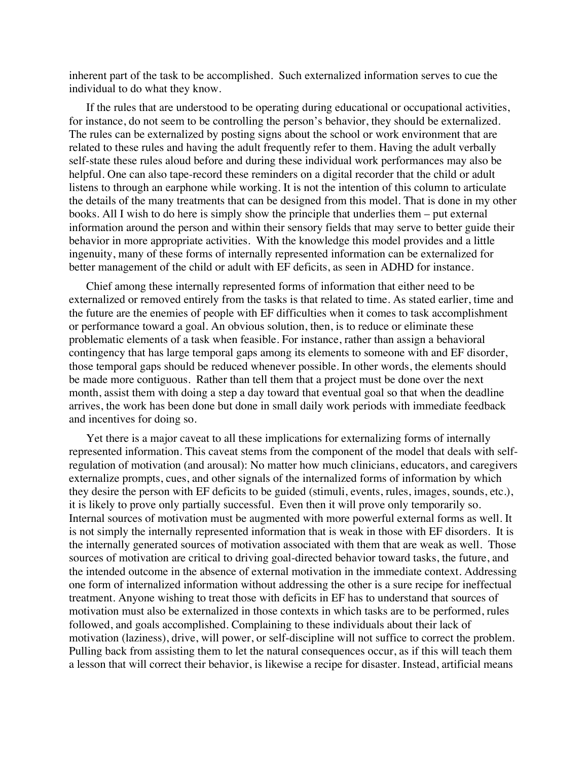inherent part of the task to be accomplished. Such externalized information serves to cue the individual to do what they know.

If the rules that are understood to be operating during educational or occupational activities, for instance, do not seem to be controlling the person's behavior, they should be externalized. The rules can be externalized by posting signs about the school or work environment that are related to these rules and having the adult frequently refer to them. Having the adult verbally self-state these rules aloud before and during these individual work performances may also be helpful. One can also tape-record these reminders on a digital recorder that the child or adult listens to through an earphone while working. It is not the intention of this column to articulate the details of the many treatments that can be designed from this model. That is done in my other books. All I wish to do here is simply show the principle that underlies them – put external information around the person and within their sensory fields that may serve to better guide their behavior in more appropriate activities. With the knowledge this model provides and a little ingenuity, many of these forms of internally represented information can be externalized for better management of the child or adult with EF deficits, as seen in ADHD for instance.

Chief among these internally represented forms of information that either need to be externalized or removed entirely from the tasks is that related to time. As stated earlier, time and the future are the enemies of people with EF difficulties when it comes to task accomplishment or performance toward a goal. An obvious solution, then, is to reduce or eliminate these problematic elements of a task when feasible. For instance, rather than assign a behavioral contingency that has large temporal gaps among its elements to someone with and EF disorder, those temporal gaps should be reduced whenever possible. In other words, the elements should be made more contiguous. Rather than tell them that a project must be done over the next month, assist them with doing a step a day toward that eventual goal so that when the deadline arrives, the work has been done but done in small daily work periods with immediate feedback and incentives for doing so.

Yet there is a major caveat to all these implications for externalizing forms of internally represented information. This caveat stems from the component of the model that deals with selfregulation of motivation (and arousal): No matter how much clinicians, educators, and caregivers externalize prompts, cues, and other signals of the internalized forms of information by which they desire the person with EF deficits to be guided (stimuli, events, rules, images, sounds, etc.), it is likely to prove only partially successful. Even then it will prove only temporarily so. Internal sources of motivation must be augmented with more powerful external forms as well. It is not simply the internally represented information that is weak in those with EF disorders. It is the internally generated sources of motivation associated with them that are weak as well. Those sources of motivation are critical to driving goal-directed behavior toward tasks, the future, and the intended outcome in the absence of external motivation in the immediate context. Addressing one form of internalized information without addressing the other is a sure recipe for ineffectual treatment. Anyone wishing to treat those with deficits in EF has to understand that sources of motivation must also be externalized in those contexts in which tasks are to be performed, rules followed, and goals accomplished. Complaining to these individuals about their lack of motivation (laziness), drive, will power, or self-discipline will not suffice to correct the problem. Pulling back from assisting them to let the natural consequences occur, as if this will teach them a lesson that will correct their behavior, is likewise a recipe for disaster. Instead, artificial means